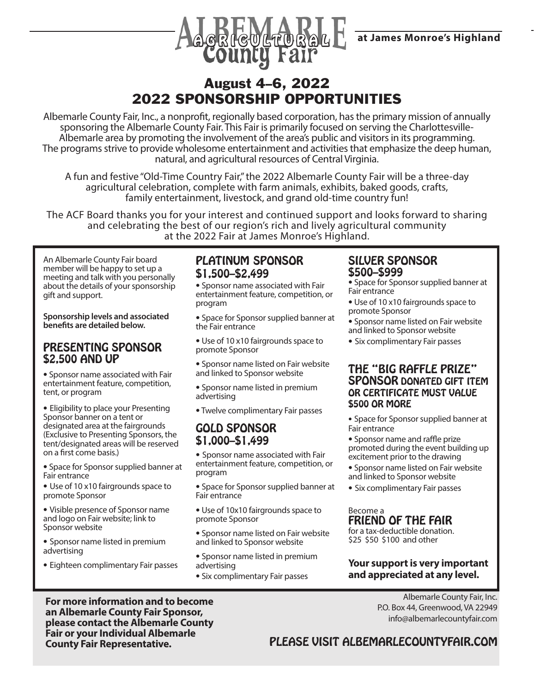



# August 4–6, 2022 2022 SPONSORSHIP OPPORTUNITIES

Albemarle County Fair, Inc., a nonprofit, regionally based corporation, has the primary mission of annually sponsoring the Albemarle County Fair. This Fair is primarily focused on serving the Charlottesville-Albemarle area by promoting the involvement of the area's public and visitors in its programming. The programs strive to provide wholesome entertainment and activities that emphasize the deep human, natural, and agricultural resources of Central Virginia.

A fun and festive "Old-Time Country Fair," the 2022 Albemarle County Fair will be a three-day agricultural celebration, complete with farm animals, exhibits, baked goods, crafts, family entertainment, livestock, and grand old-time country fun!

The ACF Board thanks you for your interest and continued support and looks forward to sharing and celebrating the best of our region's rich and lively agricultural community at the 2022 Fair at James Monroe's Highland.

An Albemarle County Fair board member will be happy to set up a meeting and talk with you personally about the details of your sponsorship gift and support.

**Sponsorship levels and associated benefits are detailed below.**

## PRESENTING SPONSOR \$2,500 AND UP

• Sponsor name associated with Fair entertainment feature, competition, tent, or program

• Eligibility to place your Presenting Sponsor banner on a tent or designated area at the fairgrounds (Exclusive to Presenting Sponsors, the tent/designated areas will be reserved on a first come basis.)

• Space for Sponsor supplied banner at Fair entrance

• Use of 10 x10 fairgrounds space to promote Sponsor

• Visible presence of Sponsor name and logo on Fair website; link to Sponsor website

• Sponsor name listed in premium advertising

• Eighteen complimentary Fair passes

# PLATINUM SPONSOR \$1,500–\$2,499

• Sponsor name associated with Fair entertainment feature, competition, or program

• Space for Sponsor supplied banner at the Fair entrance

• Use of 10 x10 fairgrounds space to promote Sponsor

• Sponsor name listed on Fair website and linked to Sponsor website

• Sponsor name listed in premium advertising

• Twelve complimentary Fair passes

## GOLD SPONSOR \$1,000–\$1,499

• Sponsor name associated with Fair entertainment feature, competition, or program

• Space for Sponsor supplied banner at Fair entrance

• Use of 10x10 fairgrounds space to promote Sponsor

• Sponsor name listed on Fair website and linked to Sponsor website

- Sponsor name listed in premium advertising
- Six complimentary Fair passes

# SILVER SPONSOR \$500–\$999

- Space for Sponsor supplied banner at Fair entrance
- Use of 10 x10 fairgrounds space to promote Sponsor
- Sponsor name listed on Fair website and linked to Sponsor website
- Six complimentary Fair passes

### THE "BIG RAFFLE PRIZE" SPONSOR DONATED GIFT ITEM OR CERTIFICATE MUST VALUE \$500 OR MORE

• Space for Sponsor supplied banner at Fair entrance

• Sponsor name and raffle prize promoted during the event building up excitement prior to the drawing

- Sponsor name listed on Fair website and linked to Sponsor website
- Six complimentary Fair passes

#### Become a FRIEND OF THE FAIR

for a tax-deductible donation. \$25 \$50 \$100 and other

#### **Your support is very important and appreciated at any level.**

Albemarle County Fair, Inc. P.O. Box 44, Greenwood, VA 22949

**For more information and to become an Albemarle County Fair Sponsor, please contact the Albemarle County Fair or your Individual Albemarle County Fair Representative.** 

 info@albemarlecountyfair.com PLEASE VISIT ALBEMARLECOUNTYFAIR.COM